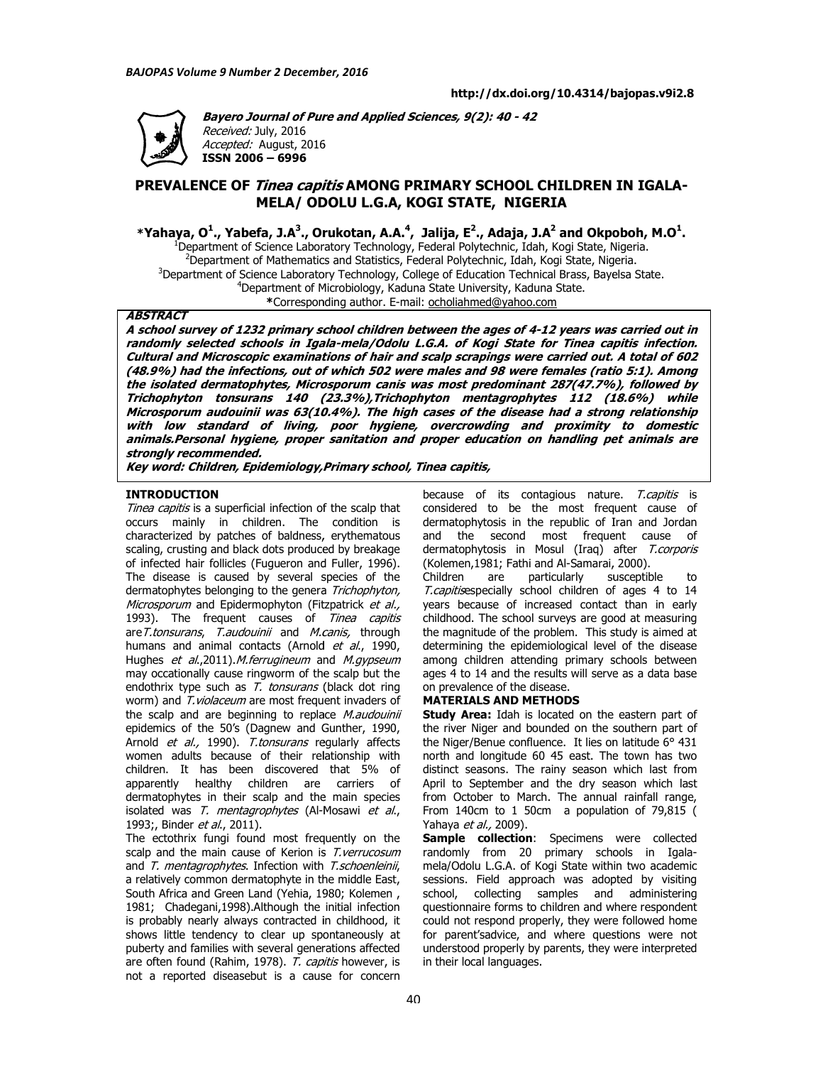

**Bayero Journal of Pure a Bayero Journal of Pure and Applied Sciences, 9(2): 40 - 42**  Received: July, 2016 Accepted: August, 2016 **ISSN 2006 – 6996**

# **PREVALENCE OF Tinea capitis inea AMONG PRIMARY SCHOOL CHILDREN IN IGALA-MELA/ ODOLU L.G.A, KOGI STATE, NIGERIA**

**\*Yahaya, O<sup>1</sup> ., Yabefa, J.A<sup>3</sup> ., Orukotan Orukotan, A.A.<sup>4</sup> , Jalija, E<sup>2</sup> ., Adaja, J.A<sup>2</sup> and Okpoboh Okpoboh, M.O<sup>1</sup> .**

<sup>1</sup>Department of Science Laboratory Technology, Federal Polytechnic, Idah, Kogi State, Nigeria.  $2$ Department of Mathematics and Statistics, Federal Polytechnic, Idah, Kogi State, Nigeria. <sup>3</sup>Department of Science Laboratory Technology, College of Education Technical Brass, Bayelsa State<br><sup>4</sup>Department of Microbiology, Kaduna State University, Kaduna State. <sup>4</sup>Department of Microbiology, Kaduna State University, Kaduna State. **\***Corresponding author. E E-mail: ocholiahmed@yahoo.com Statistics, Federal Polytechnic, Idah, Kogi State, Nigeria.<br>:hnology, College of Education Technical Brass, Bayelsa State.

## **ABSTRACT**

**A school survey of 1232 primary school children between the ages of 4 A school survey of 1232 primary school children between the ages of 4-12 years was carried out in randomly selected schools in Igala schools in Igala-mela/Odolu L.G.A. of Kogi State for Tinea capitis infection. Cultural and Microscopic examinations of hair and scalp scrapings were carried out. A total of 602**  Cultural and Microscopic examinations of hair and scalp scrapings were carried out. A total of 602<br>(48.9%) had the infections, out of which 502 were males and 98 were females (ratio 5:1). Among **the isolated dermatophytes, Microsporum canis was most predominant 287(47.7%), followed by Trichophyton tonsurans 140 (23.3%),Trichophyton mentagrophytes 112 (18.6%) while Microsporum audouinii was 63(10.4%). The high cases of the disease h with low standard of living, poor hygiene, overcrowding and proximity to domestic animals.Personal hygiene, proper sanitation and proper education on handling pet animals are strongly recommended.**  the isolated dermatophytes, Microsporum canis was most predominant 287(47.7%), followed by<br>Trichophyton tonsurans 140 (23.3%),Trichophyton mentagrophytes 112 (18.6%) while<br>Microsporum audouinii was 63(10.4%). with low standard of living, poor hygiene, overcrowding and proximity to domestic<br>animals.Personal hygiene, proper sanitation and proper education on handling pet animals are<br>strongly recommended.<br>Key word: Children, Epide A school survey of 1232 primary school children between the ages of 4-12 years was carried out in<br>randomly selected schools in Igala-mela/Odolu L.G.A. of Kogi State for Tinea capitis infection.<br>Cultural and Microscopic exa

**Key word: Children, Epidemiology,P**

## **INTRODUCTION**

Tinea capitis is a superficial infection of the scalp that occurs mainly in children. The condition is characterized by patches of baldness, er scaling, crusting and black dots produced by breakage of infected hair follicles (Fugueron and Fuller, 1996). of infected hair follicles (Fugueron and Fuller, 1996).<br>The disease is caused by several species of the dermatophytes belonging to the genera Trichophyton, *Microsporum* and Epidermophyton (Fitzpatrick *et al.,* 1993). The frequent causes of Tinea capitis are T.tonsurans, T.audouinii and M.canis, through humans and animal contacts (Arnold *et al.*, 1990, Hughes *et al.,*2011). *M. ferrugineum* and *M. gypseum* may occationally cause ringworm of the scalp but the the endothrix type such as T. tonsurans (black dot ring worm) and T. violaceum are most frequent invaders of the scalp and are beginning to replace *M.audouinii* epidemics of the 50's (Dagnew and Gunther, 1990, epidemics of the 50's (Dagnew and Gunther, 1990,<br>Arnold *et al.,* 1990). *T.tonsurans* regularly affects women adults because of their relationship with children. It has been discovered that 5% of apparently healthy children are carriers of children. It has been discovered that 5% of<br>apparently healthy children are carriers of<br>dermatophytes in their scalp and the main species isolated was T. mentagrophytes (Al-Mosawi et al., 1993; Binder et al., 2011). *apitis* is a superficial infection of the scalp that<br>mainly in children. The condition is<br>erized by patches of baldness, erythematous because of its contagious nature.<br>
totion of the scalp that<br>
considered to be the most frequent<br>
The condition is dermatophytosis in the republic of Iral<br>
didness, eythermatous and the second most frequent<br>
produced by br

The ectothrix fungi found most frequently on the scalp and the main cause of Kerion is *T.verrucosum* and T. mentagrophytes. Infection with T.schoenleinii, a relatively common dermatophyte in the middle East, a relatively common dermatophyte in the middle East,<br>South Africa and Green Land (Yehia, 1980; Kolemen , 1981; Chadegani,1998).Although the initial infection 1981; Chadegani,1998).Although the initial infection<br>is probably nearly always contracted in childhood, it shows little tendency to clear up spontaneously at shows little tendency to clear up spontaneously at<br>puberty and families with several generations affected are often found (Rahim, 1978). *T. capitis* however, is not a reported diseasebut is a cause for concern

considered to be the most frequent cause of considered to be the most frequent cause of<br>dermatophytosis in the republic of Iran and Jordan and the second most frequent cause of dermatophytosis in Mosul (Iraq) after *T.corporis* (Kolemen,1981; Fathi and Al-Samarai, 2000 Samarai, 2000). because of its contagious nature. T.capitis is

Children are particularly susceptible to T. capitises pecially school children of ages 4 to 14 years because of increased contact than in early childhood. The school surveys are good at measuring the magnitude of the problem. This study is aimed at determining the epidemiological level of the disease among children attending primary schools between ages 4 to 14 and the results will serve as a data base on prevalence of the disease. thood. The school surveys are good at measuring<br>magnitude of the problem. This study is aimed at<br>ermining the epidemiological level of the disease I attending primary schools between<br>d the results will serve as a data base<br>f the disease.<br>**ND METHODS**<br>dah is located on the eastern part of<br>and bounded on the southern part of

#### **MATERIALS AND METHODS**

**Study Area:** Idah is located on the eastern part of the river Niger and bounded on the southern part of the Niger/Benue confluence. It lies on latitude 6° 431 north and longitude 60 45 east. The town has two distinct seasons. The rainy season which last from April to September and the dry season which last from October to March. The annual rainfall range, From 140cm to 1 50cm a population of 79,815 ( Yahaya et al., 2009). ger/Benue confluence. It lies on latitude 6° 431<br>and longitude 60 45 east. The town has two<br>t seasons. The rainy season which last from<br>to September and the dry season which last<br>October to March. The annual rainfall range

**Sample collection**: Specimens were collected randomly from 20 primary schools in Igala mela/Odolu L.G.A. of Kogi State within two academic sessions. Field approach was adopted by visiting school, collecting samples and administering questionnaire forms to children and where respondent could not respond properly, they were followed home for parent'sadvice, and where questions were not for parent'sadvice, and where questions were not<br>understood properly by parents, they were interpreted in their local languages.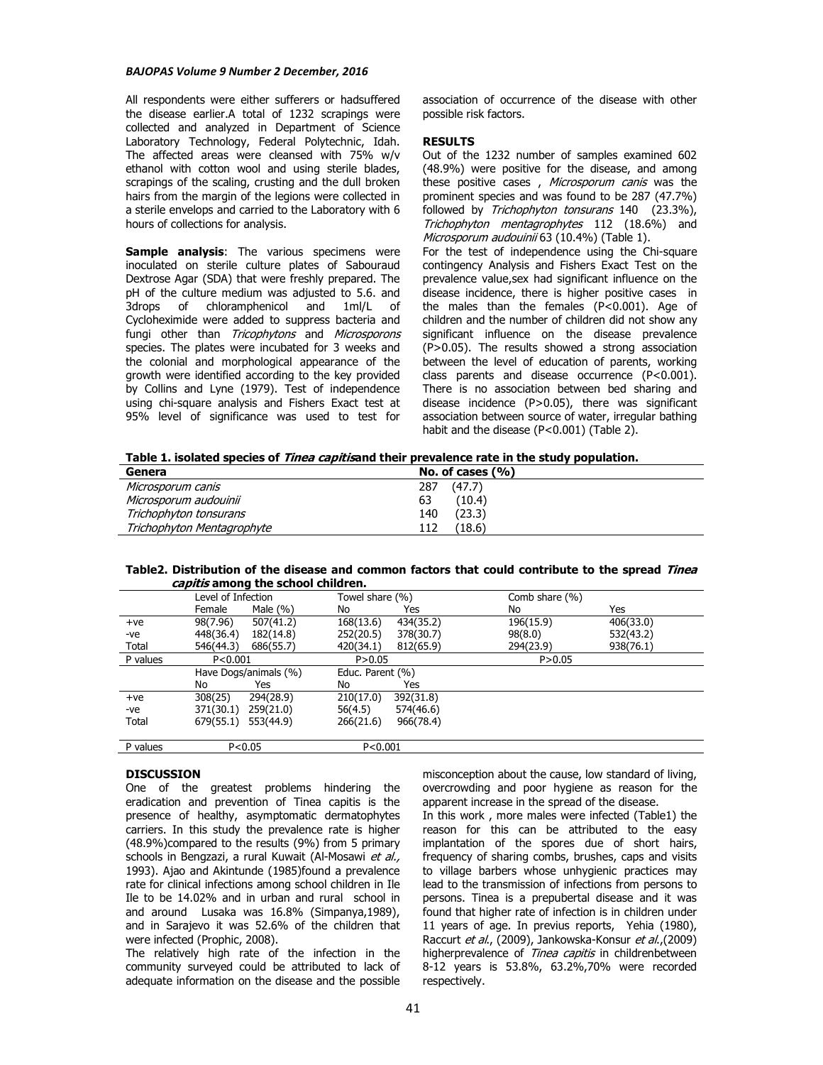## *BAJOPAS Volume 9 Number 2 December, 2016*

All respondents were either sufferers or hadsuffered the disease earlier.A total of 1232 scrapings were collected and analyzed in Department of Science Laboratory Technology, Federal Polytechnic, Idah. The affected areas were cleansed with 75% w/v ethanol with cotton wool and using sterile blades, scrapings of the scaling, crusting and the dull broken hairs from the margin of the legions were collected in a sterile envelops and carried to the Laboratory with 6 hours of collections for analysis.

**Sample analysis**: The various specimens were inoculated on sterile culture plates of Sabouraud Dextrose Agar (SDA) that were freshly prepared. The pH of the culture medium was adjusted to 5.6. and 3drops of chloramphenicol and 1ml/L of Cycloheximide were added to suppress bacteria and fungi other than Tricophytons and Microsporons species. The plates were incubated for 3 weeks and the colonial and morphological appearance of the growth were identified according to the key provided by Collins and Lyne (1979). Test of independence using chi-square analysis and Fishers Exact test at 95% level of significance was used to test for association of occurrence of the disease with other possible risk factors.

## **RESULTS**

Out of the 1232 number of samples examined 602 (48.9%) were positive for the disease, and among these positive cases, Microsporum canis was the prominent species and was found to be 287 (47.7%) followed by Trichophyton tonsurans 140 (23.3%). Trichophyton mentagrophytes 112 (18.6%) and Microsporum audouinii 63 (10.4%) (Table 1).

For the test of independence using the Chi-square contingency Analysis and Fishers Exact Test on the prevalence value, sex had significant influence on the disease incidence, there is higher positive cases in the males than the females (P<0.001). Age of children and the number of children did not show any significant influence on the disease prevalence (P>0.05). The results showed a strong association between the level of education of parents, working class parents and disease occurrence (P<0.001). There is no association between bed sharing and disease incidence (P>0.05), there was significant association between source of water, irregular bathing habit and the disease (P<0.001) (Table 2).

**Table 1. isolated species of Tinea capitisand their prevalence rate in the study population.** 

| Genera                     | No. of cases $(%$ |
|----------------------------|-------------------|
| Microsporum canis          | (47.7)<br>287     |
| Microsporum audouinii      | (10.4)<br>63      |
| Trichophyton tonsurans     | (23.3)<br>140     |
| Trichophyton Mentagrophyte | (18.6)<br>112     |

**Table2. Distribution of the disease and common factors that could contribute to the spread Tinea capitis among the school children.** 

| -- <i>----</i> ------ ---- --- ----- |                                    |              |                  |           |                |           |  |  |
|--------------------------------------|------------------------------------|--------------|------------------|-----------|----------------|-----------|--|--|
|                                      | Level of Infection                 |              | Towel share (%)  |           | Comb share (%) |           |  |  |
|                                      | Female                             | Male $(\% )$ | No               | Yes       | No             | Yes       |  |  |
| $+ve$                                | 98(7.96)                           | 507(41.2)    | 168(13.6)        | 434(35.2) | 196(15.9)      | 406(33.0) |  |  |
| -ve                                  | 448(36.4)                          | 182(14.8)    | 252(20.5)        | 378(30.7) | 98(8.0)        | 532(43.2) |  |  |
| Total                                | 546(44.3)                          | 686(55.7)    | 420(34.1)        | 812(65.9) | 294(23.9)      | 938(76.1) |  |  |
| P values                             | P < 0.001<br>Have Dogs/animals (%) |              | P > 0.05         |           | P > 0.05       |           |  |  |
|                                      |                                    |              | Educ. Parent (%) |           |                |           |  |  |
|                                      | No                                 | Yes          | No               | Yes       |                |           |  |  |
| $+ve$                                | 308(25)                            | 294(28.9)    | 210(17.0)        | 392(31.8) |                |           |  |  |
| -ve                                  | 371(30.1)                          | 259(21.0)    | 56(4.5)          | 574(46.6) |                |           |  |  |
| Total                                | 679(55.1)                          | 553(44.9)    | 266(21.6)        | 966(78.4) |                |           |  |  |
| P values                             |                                    | P < 0.05     | P < 0.001        |           |                |           |  |  |

## **DISCUSSION**

One of the greatest problems hindering the eradication and prevention of Tinea capitis is the presence of healthy, asymptomatic dermatophytes carriers. In this study the prevalence rate is higher (48.9%)compared to the results (9%) from 5 primary schools in Bengzazi, a rural Kuwait (Al-Mosawi et al., 1993). Ajao and Akintunde (1985)found a prevalence rate for clinical infections among school children in Ile Ile to be 14.02% and in urban and rural school in and around Lusaka was 16.8% (Simpanya,1989), and in Sarajevo it was 52.6% of the children that were infected (Prophic, 2008).

The relatively high rate of the infection in the community surveyed could be attributed to lack of adequate information on the disease and the possible

misconception about the cause, low standard of living, overcrowding and poor hygiene as reason for the apparent increase in the spread of the disease.

In this work , more males were infected (Table1) the reason for this can be attributed to the easy implantation of the spores due of short hairs, frequency of sharing combs, brushes, caps and visits to village barbers whose unhygienic practices may lead to the transmission of infections from persons to persons. Tinea is a prepubertal disease and it was found that higher rate of infection is in children under 11 years of age. In previus reports, Yehia (1980), Raccurt et al., (2009), Jankowska-Konsur et al., (2009) higherprevalence of *Tinea capitis* in childrenbetween 8-12 years is 53.8%, 63.2%,70% were recorded respectively.